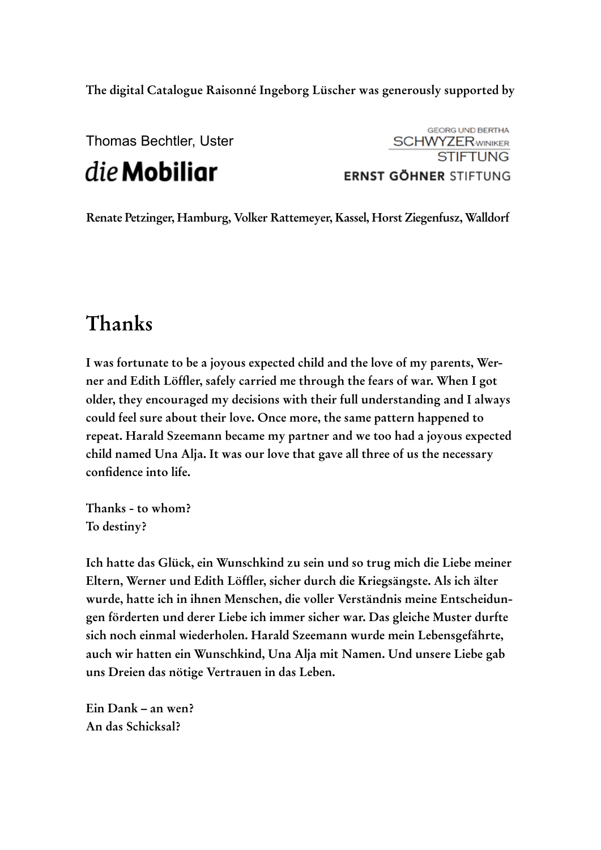**The digital Catalogue Raisonné Ingeborg Lüscher was generously supported by**

Thomas Bechtler, Uster

die Mobiliar

**GEORG UND BERTHA SCHWYZERWINIKER STIFTUNG ERNST GÖHNER STIFTUNG** 

**Renate Petzinger, Hamburg, Volker Rattemeyer, Kassel, Horst Ziegenfusz, Walldorf**

## **Thanks**

**I was fortunate to be a joyous expected child and the love of my parents, Werner and Edith Löffler, safely carried me through the fears of war. When I got older, they encouraged my decisions with their full understanding and I always could feel sure about their love. Once more, the same pattern happened to repeat. Harald Szeemann became my partner and we too had a joyous expected child named Una Alja. It was our love that gave all three of us the necessary confidence into life.**

**Thanks - to whom? To destiny?**

**Ich hatte das Glück, ein Wunschkind zu sein und so trug mich die Liebe meiner Eltern, Werner und Edith Löffler, sicher durch die Kriegsängste. Als ich älter wurde, hatte ich in ihnen Menschen, die voller Verständnis meine Entscheidungen förderten und derer Liebe ich immer sicher war. Das gleiche Muster durfte sich noch einmal wiederholen. Harald Szeemann wurde mein Lebensgefährte, auch wir hatten ein Wunschkind, Una Alja mit Namen. Und unsere Liebe gab uns Dreien das nötige Vertrauen in das Leben.** 

**Ein Dank – an wen? An das Schicksal?**